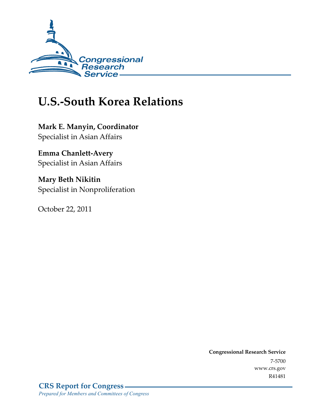

# **U.S.-South Korea Relations**

**Mark E. Manyin, Coordinator**  Specialist in Asian Affairs

**Emma Chanlett-Avery**  Specialist in Asian Affairs

**Mary Beth Nikitin**  Specialist in Nonproliferation

October 22, 2011

**Congressional Research Service**  7-5700 www.crs.gov R41481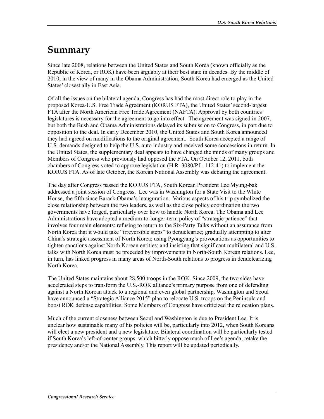# **Summary**

Since late 2008, relations between the United States and South Korea (known officially as the Republic of Korea, or ROK) have been arguably at their best state in decades. By the middle of 2010, in the view of many in the Obama Administration, South Korea had emerged as the United States' closest ally in East Asia.

Of all the issues on the bilateral agenda, Congress has had the most direct role to play in the proposed Korea-U.S. Free Trade Agreement (KORUS FTA), the United States' second-largest FTA after the North American Free Trade Agreement (NAFTA). Approval by both countries' legislatures is necessary for the agreement to go into effect. The agreement was signed in 2007, but both the Bush and Obama Administrations delayed its submission to Congress, in part due to opposition to the deal. In early December 2010, the United States and South Korea announced they had agreed on modifications to the original agreement. South Korea accepted a range of U.S. demands designed to help the U.S. auto industry and received some concessions in return. In the United States, the supplementary deal appears to have changed the minds of many groups and Members of Congress who previously had opposed the FTA. On October 12, 2011, both chambers of Congress voted to approve legislation (H.R. 3080/P.L. 112-41) to implement the KORUS FTA. As of late October, the Korean National Assembly was debating the agreement.

The day after Congress passed the KORUS FTA, South Korean President Lee Myung-bak addressed a joint session of Congress. Lee was in Washington for a State Visit to the White House, the fifth since Barack Obama's inauguration. Various aspects of his trip symbolized the close relationship between the two leaders, as well as the close policy coordination the two governments have forged, particularly over how to handle North Korea. The Obama and Lee Administrations have adopted a medium-to-longer-term policy of "strategic patience" that involves four main elements: refusing to return to the Six-Party Talks without an assurance from North Korea that it would take "irreversible steps" to denuclearize; gradually attempting to alter China's strategic assessment of North Korea; using Pyongyang's provocations as opportunities to tighten sanctions against North Korean entities; and insisting that significant multilateral and U.S. talks with North Korea must be preceded by improvements in North-South Korean relations. Lee, in turn, has linked progress in many areas of North-South relations to progress in denuclearizing North Korea.

The United States maintains about 28,500 troops in the ROK. Since 2009, the two sides have accelerated steps to transform the U.S.-ROK alliance's primary purpose from one of defending against a North Korean attack to a regional and even global partnership. Washington and Seoul have announced a "Strategic Alliance 2015" plan to relocate U.S. troops on the Peninsula and boost ROK defense capabilities. Some Members of Congress have criticized the relocation plans.

Much of the current closeness between Seoul and Washington is due to President Lee. It is unclear how sustainable many of his policies will be, particularly into 2012, when South Koreans will elect a new president and a new legislature. Bilateral coordination will be particularly tested if South Korea's left-of-center groups, which bitterly oppose much of Lee's agenda, retake the presidency and/or the National Assembly. This report will be updated periodically.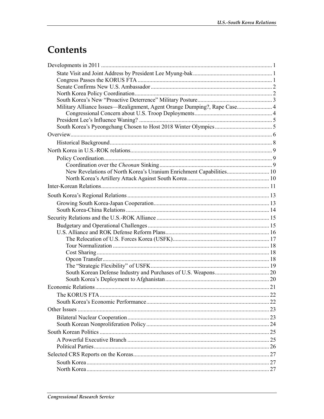# **Contents**

| Military Alliance Issues—Realignment, Agent Orange Dumping?, Rape Case 4 |  |
|--------------------------------------------------------------------------|--|
|                                                                          |  |
|                                                                          |  |
|                                                                          |  |
|                                                                          |  |
|                                                                          |  |
|                                                                          |  |
|                                                                          |  |
|                                                                          |  |
| New Revelations of North Korea's Uranium Enrichment Capabilities 10      |  |
|                                                                          |  |
|                                                                          |  |
|                                                                          |  |
|                                                                          |  |
|                                                                          |  |
|                                                                          |  |
|                                                                          |  |
|                                                                          |  |
|                                                                          |  |
|                                                                          |  |
|                                                                          |  |
|                                                                          |  |
|                                                                          |  |
|                                                                          |  |
|                                                                          |  |
|                                                                          |  |
|                                                                          |  |
|                                                                          |  |
|                                                                          |  |
|                                                                          |  |
|                                                                          |  |
|                                                                          |  |
|                                                                          |  |
|                                                                          |  |
|                                                                          |  |
|                                                                          |  |
|                                                                          |  |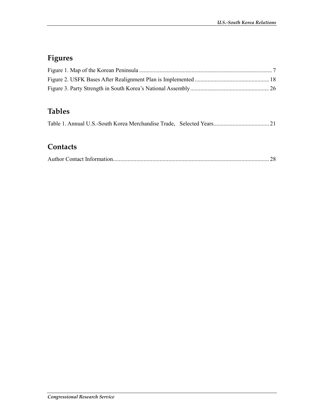## **Figures**

## **Tables**

|--|--|--|--|--|--|--|--|--|--|

### **Contacts**

|--|--|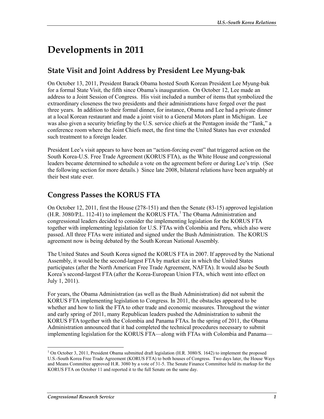# **Developments in 2011**

## **State Visit and Joint Address by President Lee Myung-bak**

On October 13, 2011, President Barack Obama hosted South Korean President Lee Myung-bak for a formal State Visit, the fifth since Obama's inauguration. On October 12, Lee made an address to a Joint Session of Congress. His visit included a number of items that symbolized the extraordinary closeness the two presidents and their administrations have forged over the past three years. In addition to their formal dinner, for instance, Obama and Lee had a private dinner at a local Korean restaurant and made a joint visit to a General Motors plant in Michigan. Lee was also given a security briefing by the U.S. service chiefs at the Pentagon inside the "Tank," a conference room where the Joint Chiefs meet, the first time the United States has ever extended such treatment to a foreign leader.

President Lee's visit appears to have been an "action-forcing event" that triggered action on the South Korea-U.S. Free Trade Agreement (KORUS FTA), as the White House and congressional leaders became determined to schedule a vote on the agreement before or during Lee's trip. (See the following section for more details.) Since late 2008, bilateral relations have been arguably at their best state ever.

### **Congress Passes the KORUS FTA**

On October 12, 2011, first the House (278-151) and then the Senate (83-15) approved legislation (H.R. 3080/P.L. 112-41) to implement the KORUS FTA.<sup>1</sup> The Obama Administration and congressional leaders decided to consider the implementing legislation for the KORUS FTA together with implementing legislation for U.S. FTAs with Colombia and Peru, which also were passed. All three FTAs were initiated and signed under the Bush Administration. The KORUS agreement now is being debated by the South Korean National Assembly.

The United States and South Korea signed the KORUS FTA in 2007. If approved by the National Assembly, it would be the second-largest FTA by market size in which the United States participates (after the North American Free Trade Agreement, NAFTA). It would also be South Korea's second-largest FTA (after the Korea-European Union FTA, which went into effect on July 1, 2011).

For years, the Obama Administration (as well as the Bush Administration) did not submit the KORUS FTA implementing legislation to Congress. In 2011, the obstacles appeared to be whether and how to link the FTA to other trade and economic measures. Throughout the winter and early spring of 2011, many Republican leaders pushed the Administration to submit the KORUS FTA together with the Colombia and Panama FTAs. In the spring of 2011, the Obama Administration announced that it had completed the technical procedures necessary to submit implementing legislation for the KORUS FTA—along with FTAs with Colombia and Panama—

<sup>&</sup>lt;sup>1</sup> On October 3, 2011, President Obama submitted draft legislation (H.R. 3080/S. 1642) to implement the proposed U.S.-South Korea Free Trade Agreement (KORUS FTA) to both houses of Congress. Two days later, the House Ways and Means Committee approved H.R. 3080 by a vote of 31-5. The Senate Finance Committee held its markup for the KORUS FTA on October 11 and reported it to the full Senate on the same day.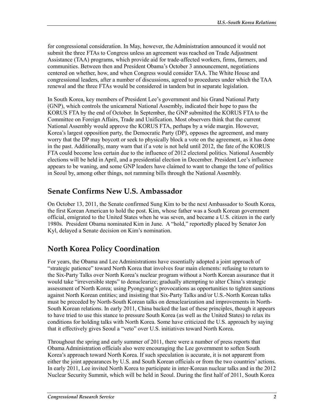for congressional consideration. In May, however, the Administration announced it would not submit the three FTAs to Congress unless an agreement was reached on Trade Adjustment Assistance (TAA) programs, which provide aid for trade-affected workers, firms, farmers, and communities. Between then and President Obama's October 3 announcement, negotiations centered on whether, how, and when Congress would consider TAA. The White House and congressional leaders, after a number of discussions, agreed to procedures under which the TAA renewal and the three FTAs would be considered in tandem but in separate legislation.

In South Korea, key members of President Lee's government and his Grand National Party (GNP), which controls the unicameral National Assembly, indicated their hope to pass the KORUS FTA by the end of October. In September, the GNP submitted the KORUS FTA to the Committee on Foreign Affairs, Trade and Unification. Most observers think that the current National Assembly would approve the KORUS FTA, perhaps by a wide margin. However, Korea's largest opposition party, the Democratic Party (DP), opposes the agreement, and many worry that the DP may boycott or seek to physically block a vote on the agreement, as it has done in the past. Additionally, many warn that if a vote is not held until 2012, the fate of the KORUS FTA could become less certain due to the influence of 2012 electoral politics. National Assembly elections will be held in April, and a presidential election in December. President Lee's influence appears to be waning, and some GNP leaders have claimed to want to change the tone of politics in Seoul by, among other things, not ramming bills through the National Assembly.

## **Senate Confirms New U.S. Ambassador**

On October 13, 2011, the Senate confirmed Sung Kim to be the next Ambassador to South Korea, the first Korean American to hold the post. Kim, whose father was a South Korean government official, emigrated to the United States when he was seven, and became a U.S. citizen in the early 1980s. President Obama nominated Kim in June. A "hold," reportedly placed by Senator Jon Kyl, delayed a Senate decision on Kim's nomination.

## **North Korea Policy Coordination**

For years, the Obama and Lee Administrations have essentially adopted a joint approach of "strategic patience" toward North Korea that involves four main elements: refusing to return to the Six-Party Talks over North Korea's nuclear program without a North Korean assurance that it would take "irreversible steps" to denuclearize; gradually attempting to alter China's strategic assessment of North Korea; using Pyongyang's provocations as opportunities to tighten sanctions against North Korean entities; and insisting that Six-Party Talks and/or U.S.-North Korean talks must be preceded by North-South Korean talks on denuclearization and improvements in North-South Korean relations. In early 2011, China backed the last of these principles, though it appears to have tried to use this stance to pressure South Korea (as well as the United States) to relax its conditions for holding talks with North Korea. Some have criticized the U.S. approach by saying that it effectively gives Seoul a "veto" over U.S. initiatives toward North Korea.

Throughout the spring and early summer of 2011, there were a number of press reports that Obama Administration officials also were encouraging the Lee government to soften South Korea's approach toward North Korea. If such speculation is accurate, it is not apparent from either the joint appearances by U.S. and South Korean officials or from the two countries' actions. In early 2011, Lee invited North Korea to participate in inter-Korean nuclear talks and in the 2012 Nuclear Security Summit, which will be held in Seoul. During the first half of 2011, South Korea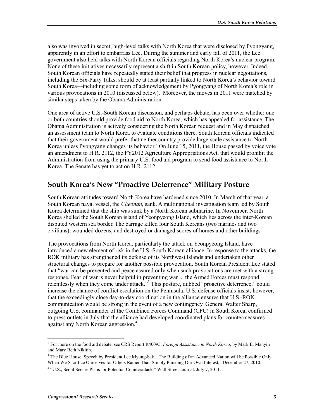also was involved in secret, high-level talks with North Korea that were disclosed by Pyongyang, apparently in an effort to embarrass Lee. During the summer and early fall of 2011, the Lee government also held talks with North Korean officials regarding North Korea's nuclear program. None of these initiatives necessarily represent a shift in South Korean policy, however. Indeed, South Korean officials have repeatedly stated their belief that progress in nuclear negotiations, including the Six-Party Talks, should be at least partially linked to North Korea's behavior toward South Korea—including some form of acknowledgement by Pyongyang of North Korea's role in various provocations in 2010 (discussed below). Moreover, the moves in 2011 were matched by similar steps taken by the Obama Administration.

One area of active U.S.-South Korean discussion, and perhaps debate, has been over whether one or both countries should provide food aid to North Korea, which has appealed for assistance. The Obama Administration is actively considering the North Korean request and in May dispatched an assessment team to North Korea to evaluate conditions there. South Korean officials indicated that their government would prefer that neither country provide large-scale assistance to North Korea unless Pyongyang changes its behavior.<sup>2</sup> On June 15, 2011, the House passed by voice vote an amendment to H.R. 2112, the FY2012 Agriculture Appropriations Act, that would prohibit the Administration from using the primary U.S. food aid program to send food assistance to North Korea. The Senate has yet to act on H.R. 2112.

### **South Korea's New "Proactive Deterrence" Military Posture**

South Korean attitudes toward North Korea have hardened since 2010. In March of that year, a South Korean naval vessel, the *Cheonan*, sank. A multinational investigation team led by South Korea determined that the ship was sunk by a North Korean submarine. In November, North Korea shelled the South Korean island of Yeonpyeong Island, which lies across the inter-Korean disputed western sea border. The barrage killed four South Koreans (two marines and two civilians), wounded dozens, and destroyed or damaged scores of homes and other buildings

The provocations from North Korea, particularly the attack on Yeonpyeong Island, have introduced a new element of risk in the U.S.-South Korean alliance. In response to the attacks, the ROK military has strengthened its defense of its Northwest Islands and undertaken other structural changes to prepare for another possible provocation. South Korean President Lee stated that "war can be prevented and peace assured only when such provocations are met with a strong response. Fear of war is never helpful in preventing war ... the Armed Forces must respond relentlessly when they come under attack."<sup>3</sup> This posture, dubbed "proactive deterrence," could increase the chance of conflict escalation on the Peninsula. U.S. defense officials insist, however, that the exceedingly close day-to-day coordination in the alliance ensures that U.S.-ROK communication would be strong in the event of a new contingency. General Walter Sharp, outgoing U.S. commander of the Combined Forces Command (CFC) in South Korea, confirmed to press outlets in July that the alliance had developed coordinated plans for countermeasures against any North Korean aggression.<sup>4</sup>

<sup>2</sup> For more on the food aid debate, see CRS Report R40095, *Foreign Assistance to North Korea*, by Mark E. Manyin and Mary Beth Nikitin.

<sup>&</sup>lt;sup>3</sup> The Blue House, Speech by President Lee Myung-bak, "The Building of an Advanced Nation will be Possible Only When We Sacrifice Ourselves for Others Rather Than Simply Pursuing Our Own Interest," December 27, 2010.

<sup>&</sup>lt;sup>4</sup> "U.S., Seoul Secure Plans for Potential Counterattack," Wall Street Journal. July 7, 2011.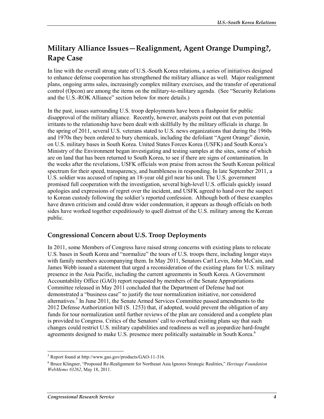## **Military Alliance Issues—Realignment, Agent Orange Dumping?, Rape Case**

In line with the overall strong state of U.S.-South Korea relations, a series of initiatives designed to enhance defense cooperation has strengthened the military alliance as well. Major realignment plans, ongoing arms sales, increasingly complex military exercises, and the transfer of operational control (Opcon) are among the items on the military-to-military agenda. (See "Security Relations and the U.S.-ROK Alliance" section below for more details.)

In the past, issues surrounding U.S. troop deployments have been a flashpoint for public disapproval of the military alliance. Recently, however, analysts point out that even potential irritants to the relationship have been dealt with skillfully by the military officials in charge. In the spring of 2011, several U.S. veterans stated to U.S. news organizations that during the 1960s and 1970s they been ordered to bury chemicals, including the defoliant "Agent Orange" dioxin, on U.S. military bases in South Korea. United States Forces Korea (USFK) and South Korea's Ministry of the Environment began investigating and testing samples at the sites, some of which are on land that has been returned to South Korea, to see if there are signs of contamination. In the weeks after the revelations, USFK officials won praise from across the South Korean political spectrum for their speed, transparency, and humbleness in responding. In late September 2011, a U.S. soldier was accused of raping an 18-year old girl near his unit. The U.S. government promised full cooperation with the investigation, several high-level U.S. officials quickly issued apologies and expressions of regret over the incident, and USFK agreed to hand over the suspect to Korean custody following the soldier's reported confession. Although both of these examples have drawn criticism and could draw wider condemnation, it appears as though officials on both sides have worked together expeditiously to quell distrust of the U.S. military among the Korean public.

#### **Congressional Concern about U.S. Troop Deployments**

In 2011, some Members of Congress have raised strong concerns with existing plans to relocate U.S. bases in South Korea and "normalize" the tours of U.S. troops there, including longer stays with family members accompanying them. In May 2011, Senators Carl Levin, John McCain, and James Webb issued a statement that urged a reconsideration of the existing plans for U.S. military presence in the Asia Pacific, including the current agreements in South Korea. A Government Accountability Office (GAO) report requested by members of the Senate Appropriations Committee released in May 2011 concluded that the Department of Defense had not demonstrated a "business case" to justify the tour normalization initiative, nor considered alternatives.<sup>5</sup> In June 2011, the Senate Armed Services Committee passed amendments to the 2012 Defense Authorization bill (S. 1253) that, if adopted, would prevent the obligation of any funds for tour normalization until further reviews of the plan are considered and a complete plan is provided to Congress. Critics of the Senators' call to overhaul existing plans say that such changes could restrict U.S. military capabilities and readiness as well as jeopardize hard-fought agreements designed to make U.S. presence more politically sustainable in South Korea.<sup>6</sup>

<sup>5</sup> Report found at http://www.gao.gov/products/GAO-11-316.

<sup>6</sup> Bruce Klingner, "Proposed Re-Realignment for Northeast Asia Ignores Strategic Realities," *Heritage Foundation WebMemo #3262*, May 18, 2011.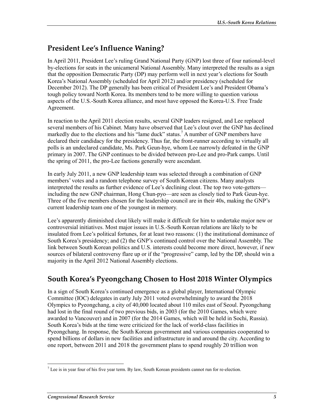### **President Lee's Influence Waning?**

In April 2011, President Lee's ruling Grand National Party (GNP) lost three of four national-level by-elections for seats in the unicameral National Assembly. Many interpreted the results as a sign that the opposition Democratic Party (DP) may perform well in next year's elections for South Korea's National Assembly (scheduled for April 2012) and/or presidency (scheduled for December 2012). The DP generally has been critical of President Lee's and President Obama's tough policy toward North Korea. Its members tend to be more willing to question various aspects of the U.S.-South Korea alliance, and most have opposed the Korea-U.S. Free Trade Agreement.

In reaction to the April 2011 election results, several GNP leaders resigned, and Lee replaced several members of his Cabinet. Many have observed that Lee's clout over the GNP has declined markedly due to the elections and his "lame duck" status.<sup>7</sup> A number of GNP members have declared their candidacy for the presidency. Thus far, the front-runner according to virtually all polls is an undeclared candidate, Ms. Park Geun-hye, whom Lee narrowly defeated in the GNP primary in 2007. The GNP continues to be divided between pro-Lee and pro-Park camps. Until the spring of 2011, the pro-Lee factions generally were ascendant.

In early July 2011, a new GNP leadership team was selected through a combination of GNP members' votes and a random telephone survey of South Korean citizens. Many analysts interpreted the results as further evidence of Lee's declining clout. The top two vote-getters including the new GNP chairman, Hong Chun-pyo—are seen as closely tied to Park Geun-hye. Three of the five members chosen for the leadership council are in their 40s, making the GNP's current leadership team one of the youngest in memory.

Lee's apparently diminished clout likely will make it difficult for him to undertake major new or controversial initiatives. Most major issues in U.S.-South Korean relations are likely to be insulated from Lee's political fortunes, for at least two reasons: (1) the institutional dominance of South Korea's presidency; and (2) the GNP's continued control over the National Assembly. The link between South Korean politics and U.S. interests could become more direct, however, if new sources of bilateral controversy flare up or if the "progressive" camp, led by the DP, should win a majority in the April 2012 National Assembly elections.

## **South Korea's Pyeongchang Chosen to Host 2018 Winter Olympics**

In a sign of South Korea's continued emergence as a global player, International Olympic Committee (IOC) delegates in early July 2011 voted overwhelmingly to award the 2018 Olympics to Pyeongchang, a city of 40,000 located about 110 miles east of Seoul. Pyeongchang had lost in the final round of two previous bids, in 2003 (for the 2010 Games, which were awarded to Vancouver) and in 2007 (for the 2014 Games, which will be held in Sochi, Russia). South Korea's bids at the time were criticized for the lack of world-class facilities in Pyeongchang. In response, the South Korean government and various companies cooperated to spend billions of dollars in new facilities and infrastructure in and around the city. According to one report, between 2011 and 2018 the government plans to spend roughly 20 trillion won

 $\frac{1}{7}$  Lee is in year four of his five year term. By law, South Korean presidents cannot run for re-election.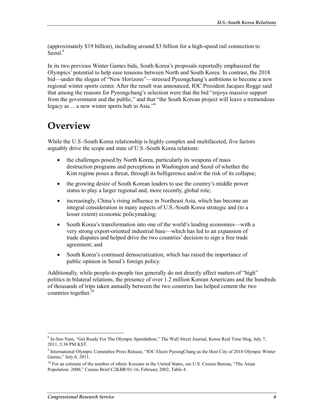(approximately \$19 billion), including around \$3 billion for a high-speed rail connection to  $\widetilde{\text{Seoul.}}^8$ 

In its two previous Winter Games bids, South Korea's proposals reportedly emphasized the Olympics' potential to help ease tensions between North and South Korea. In contrast, the 2018 bid—under the slogan of "New Horizons"—stressed Pyeongchang's ambitions to become a new regional winter sports center. After the result was announced, IOC President Jacques Rogge said that among the reasons for Pyeongchang's selection were that the bid "enjoys massive support from the government and the public," and that "the South Korean project will leave a tremendous legacy as ... a new winter sports hub in Asia."9

## **Overview**

While the U.S.-South Korea relationship is highly complex and multifaceted, five factors arguably drive the scope and state of U.S.-South Korea relations:

- the challenges posed by North Korea, particularly its weapons of mass destruction programs and perceptions in Washington and Seoul of whether the Kim regime poses a threat, through its belligerence and/or the risk of its collapse;
- the growing desire of South Korean leaders to use the country's middle power status to play a larger regional and, more recently, global role;
- increasingly, China's rising influence in Northeast Asia, which has become an integral consideration in many aspects of U.S.-South Korea strategic and (to a lesser extent) economic policymaking;
- South Korea's transformation into one of the world's leading economies—with a very strong export-oriented industrial base—which has led to an expansion of trade disputes and helped drive the two countries' decision to sign a free trade agreement; and
- South Korea's continued democratization, which has raised the importance of public opinion in Seoul's foreign policy.

Additionally, while people-to-people ties generally do not directly affect matters of "high" politics in bilateral relations, the presence of over 1.2 million Korean Americans and the hundreds of thousands of trips taken annually between the two countries has helped cement the two countries together. $10$ 

<sup>1</sup> 8 In-Soo Nam, "Get Ready For The Olympic Spendathon," The Wall Street Journal, Korea Real Time blog, July 7, 2011, 5:38 PM KST.

<sup>&</sup>lt;sup>9</sup> International Olympic Committee Press Release, "IOC Elects PyeongChang as the Host City of 2018 Olympic Winter Games," July 6, 2011.

<sup>&</sup>lt;sup>10</sup> For an estimate of the number of ethnic Koreans in the United States, see U.S. Census Bureau, "The Asian Population: 2000," Census Brief C2KBR/01-16, February 2002, Table 4.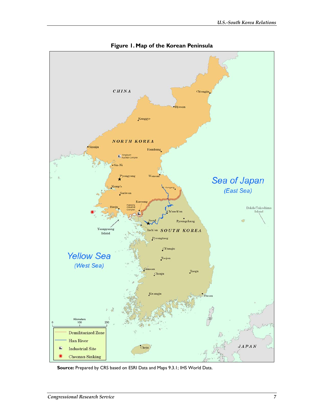

**Figure 1. Map of the Korean Peninsula** 

**Source:** Prepared by CRS based on ESRI Data and Maps 9.3.1; IHS World Data.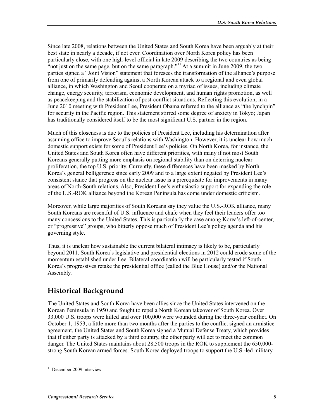Since late 2008, relations between the United States and South Korea have been arguably at their best state in nearly a decade, if not ever. Coordination over North Korea policy has been particularly close, with one high-level official in late 2009 describing the two countries as being "not just on the same page, but on the same paragraph."<sup>11</sup> At a summit in June 2009, the two parties signed a "Joint Vision" statement that foresees the transformation of the alliance's purpose from one of primarily defending against a North Korean attack to a regional and even global alliance, in which Washington and Seoul cooperate on a myriad of issues, including climate change, energy security, terrorism, economic development, and human rights promotion, as well as peacekeeping and the stabilization of post-conflict situations. Reflecting this evolution, in a June 2010 meeting with President Lee, President Obama referred to the alliance as "the lynchpin" for security in the Pacific region. This statement stirred some degree of anxiety in Tokyo; Japan has traditionally considered itself to be the most significant U.S. partner in the region.

Much of this closeness is due to the policies of President Lee, including his determination after assuming office to improve Seoul's relations with Washington. However, it is unclear how much domestic support exists for some of President Lee's policies. On North Korea, for instance, the United States and South Korea often have different priorities, with many if not most South Koreans generally putting more emphasis on regional stability than on deterring nuclear proliferation, the top U.S. priority. Currently, these differences have been masked by North Korea's general belligerence since early 2009 and to a large extent negated by President Lee's consistent stance that progress on the nuclear issue is a prerequisite for improvements in many areas of North-South relations. Also, President Lee's enthusiastic support for expanding the role of the U.S.-ROK alliance beyond the Korean Peninsula has come under domestic criticism.

Moreover, while large majorities of South Koreans say they value the U.S.-ROK alliance, many South Koreans are resentful of U.S. influence and chafe when they feel their leaders offer too many concessions to the United States. This is particularly the case among Korea's left-of-center, or "progressive" groups, who bitterly oppose much of President Lee's policy agenda and his governing style.

Thus, it is unclear how sustainable the current bilateral intimacy is likely to be, particularly beyond 2011. South Korea's legislative and presidential elections in 2012 could erode some of the momentum established under Lee. Bilateral coordination will be particularly tested if South Korea's progressives retake the presidential office (called the Blue House) and/or the National Assembly.

## **Historical Background**

The United States and South Korea have been allies since the United States intervened on the Korean Peninsula in 1950 and fought to repel a North Korean takeover of South Korea. Over 33,000 U.S. troops were killed and over 100,000 were wounded during the three-year conflict. On October 1, 1953, a little more than two months after the parties to the conflict signed an armistice agreement, the United States and South Korea signed a Mutual Defense Treaty, which provides that if either party is attacked by a third country, the other party will act to meet the common danger. The United States maintains about 28,500 troops in the ROK to supplement the 650,000 strong South Korean armed forces. South Korea deployed troops to support the U.S.-led military

<sup>&</sup>lt;u>.</u> <sup>11</sup> December 2009 interview.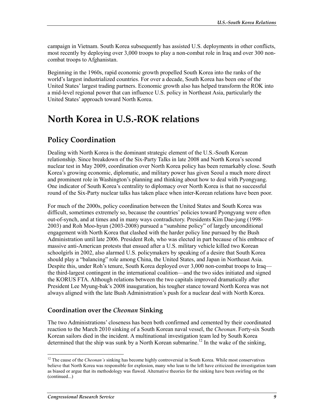campaign in Vietnam. South Korea subsequently has assisted U.S. deployments in other conflicts, most recently by deploying over 3,000 troops to play a non-combat role in Iraq and over 300 noncombat troops to Afghanistan.

Beginning in the 1960s, rapid economic growth propelled South Korea into the ranks of the world's largest industrialized countries. For over a decade, South Korea has been one of the United States' largest trading partners. Economic growth also has helped transform the ROK into a mid-level regional power that can influence U.S. policy in Northeast Asia, particularly the United States' approach toward North Korea.

# **North Korea in U.S.-ROK relations**

## **Policy Coordination**

Dealing with North Korea is the dominant strategic element of the U.S.-South Korean relationship. Since breakdown of the Six-Party Talks in late 2008 and North Korea's second nuclear test in May 2009, coordination over North Korea policy has been remarkably close. South Korea's growing economic, diplomatic, and military power has given Seoul a much more direct and prominent role in Washington's planning and thinking about how to deal with Pyongyang. One indicator of South Korea's centrality to diplomacy over North Korea is that no successful round of the Six-Party nuclear talks has taken place when inter-Korean relations have been poor.

For much of the 2000s, policy coordination between the United States and South Korea was difficult, sometimes extremely so, because the countries' policies toward Pyongyang were often out-of-synch, and at times and in many ways contradictory. Presidents Kim Dae-jung (1998- 2003) and Roh Moo-hyun (2003-2008) pursued a "sunshine policy" of largely unconditional engagement with North Korea that clashed with the harder policy line pursued by the Bush Administration until late 2006. President Roh, who was elected in part because of his embrace of massive anti-American protests that ensued after a U.S. military vehicle killed two Korean schoolgirls in 2002, also alarmed U.S. policymakers by speaking of a desire that South Korea should play a "balancing" role among China, the United States, and Japan in Northeast Asia. Despite this, under Roh's tenure, South Korea deployed over 3,000 non-combat troops to Iraq the third-largest contingent in the international coalition—and the two sides initiated and signed the KORUS FTA. Although relations between the two capitals improved dramatically after President Lee Myung-bak's 2008 inauguration, his tougher stance toward North Korea was not always aligned with the late Bush Administration's push for a nuclear deal with North Korea.

#### **Coordination over the** *Cheonan* **Sinking**

The two Administrations' closeness has been both confirmed and cemented by their coordinated reaction to the March 2010 sinking of a South Korean naval vessel, the *Cheonan*. Forty-six South Korean sailors died in the incident. A multinational investigation team led by South Korea determined that the ship was sunk by a North Korean submarine.<sup>12</sup> In the wake of the sinking,

<sup>&</sup>lt;sup>12</sup> The cause of the *Cheonan's* sinking has become highly controversial in South Korea. While most conservatives believe that North Korea was responsible for explosion, many who lean to the left have criticized the investigation team as biased or argue that its methodology was flawed. Alternative theories for the sinking have been swirling on the (continued...)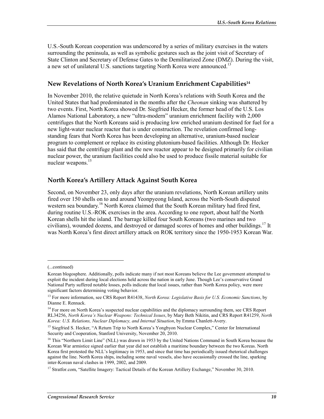U.S.-South Korean cooperation was underscored by a series of military exercises in the waters surrounding the peninsula, as well as symbolic gestures such as the joint visit of Secretary of State Clinton and Secretary of Defense Gates to the Demilitarized Zone (DMZ). During the visit, a new set of unilateral U.S. sanctions targeting North Korea were announced.<sup>13</sup>

#### **New Revelations of North Korea's Uranium Enrichment Capabilities14**

In November 2010, the relative quietude in North Korea's relations with South Korea and the United States that had predominated in the months after the *Cheonan* sinking was shattered by two events. First, North Korea showed Dr. Siegfried Hecker, the former head of the U.S. Los Alamos National Laboratory, a new "ultra-modern" uranium enrichment facility with 2,000 centrifuges that the North Koreans said is producing low enriched uranium destined for fuel for a new light-water nuclear reactor that is under construction. The revelation confirmed longstanding fears that North Korea has been developing an alternative, uranium-based nuclear program to complement or replace its existing plutonium-based facilities. Although Dr. Hecker has said that the centrifuge plant and the new reactor appear to be designed primarily for civilian nuclear power, the uranium facilities could also be used to produce fissile material suitable for nuclear weapons.<sup>15</sup>

#### **North Korea's Artillery Attack Against South Korea**

Second, on November 23, only days after the uranium revelations, North Korean artillery units fired over 150 shells on to and around Yeonpyeong Island, across the North-South disputed western sea boundary.<sup>16</sup> North Korea claimed that the South Korean military had fired first, during routine U.S.-ROK exercises in the area. According to one report, about half the North Korean shells hit the island. The barrage killed four South Koreans (two marines and two civilians), wounded dozens, and destroyed or damaged scores of homes and other buildings.<sup>17</sup> It was North Korea's first direct artillery attack on ROK territory since the 1950-1953 Korean War.

<sup>(...</sup>continued)

Korean blogosphere. Additionally, polls indicate many if not most Koreans believe the Lee government attempted to exploit the incident during local elections held across the nation in early June. Though Lee's conservative Grand National Party suffered notable losses, polls indicate that local issues, rather than North Korea policy, were more significant factors determining voting behavior.

<sup>13</sup> For more information, see CRS Report R41438, *North Korea: Legislative Basis for U.S. Economic Sanctions*, by Dianne E. Rennack.

<sup>&</sup>lt;sup>14</sup> For more on North Korea's suspected nuclear capabilities and the diplomacy surrounding them, see CRS Report RL34256, *North Korea's Nuclear Weapons: Technical Issues*, by Mary Beth Nikitin, and CRS Report R41259, *North Korea: U.S. Relations, Nuclear Diplomacy, and Internal Situation*, by Emma Chanlett-Avery.

<sup>&</sup>lt;sup>15</sup> Siegfried S. Hecker, "A Return Trip to North Korea's Yongbyon Nuclear Complex," Center for International Security and Cooperation, Stanford University, November 20, 2010.

<sup>&</sup>lt;sup>16</sup> This "Northern Limit Line" (NLL) was drawn in 1953 by the United Nations Command in South Korea because the Korean War armistice signed earlier that year did not establish a maritime boundary between the two Koreas. North Korea first protested the NLL's legitimacy in 1953, and since that time has periodically issued rhetorical challenges against the line. North Korea ships, including some naval vessels, also have occasionally crossed the line, sparking inter-Korean naval clashes in 1999, 2002, and 2009.

<sup>&</sup>lt;sup>17</sup> Stratfor.com, "Satellite Imagery: Tactical Details of the Korean Artillery Exchange," November 30, 2010.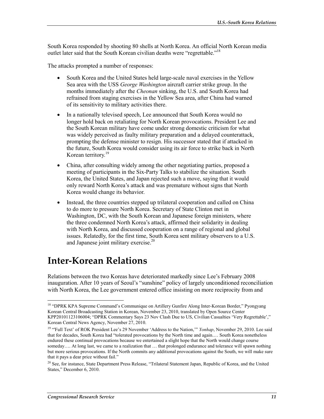South Korea responded by shooting 80 shells at North Korea. An official North Korean media outlet later said that the South Korean civilian deaths were "regrettable."<sup>18</sup>

The attacks prompted a number of responses:

- South Korea and the United States held large-scale naval exercises in the Yellow Sea area with the USS *George Washington* aircraft carrier strike group. In the months immediately after the *Cheonan* sinking, the U.S. and South Korea had refrained from staging exercises in the Yellow Sea area, after China had warned of its sensitivity to military activities there.
- In a nationally televised speech, Lee announced that South Korea would no longer hold back on retaliating for North Korean provocations. President Lee and the South Korean military have come under strong domestic criticism for what was widely perceived as faulty military preparation and a delayed counterattack, prompting the defense minister to resign. His successor stated that if attacked in the future, South Korea would consider using its air force to strike back in North Korean territory.<sup>19</sup>
- China, after consulting widely among the other negotiating parties, proposed a meeting of participants in the Six-Party Talks to stabilize the situation. South Korea, the United States, and Japan rejected such a move, saying that it would only reward North Korea's attack and was premature without signs that North Korea would change its behavior.
- Instead, the three countries stepped up trilateral cooperation and called on China to do more to pressure North Korea. Secretary of State Clinton met in Washington, DC, with the South Korean and Japanese foreign ministers, where the three condemned North Korea's attack, affirmed their solidarity in dealing with North Korea, and discussed cooperation on a range of regional and global issues. Relatedly, for the first time, South Korea sent military observers to a U.S. and Japanese joint military exercise.20

# **Inter-Korean Relations**

Relations between the two Koreas have deteriorated markedly since Lee's February 2008 inauguration. After 10 years of Seoul's "sunshine" policy of largely unconditioned reconciliation with North Korea, the Lee government entered office insisting on more reciprocity from and

<sup>&</sup>lt;sup>18</sup> "DPRK KPA Supreme Command's Communique on Artillery Gunfire Along Inter-Korean Border," Pyongyang Korean Central Broadcasting Station in Korean, November 23, 2010, translated by Open Source Center KPP20101123106004; "DPRK Commentary Says 23 Nov Clash Due to US, Civilian Casualties 'Very Regrettable'," Korean Central News Agency, November 27, 2010.

<sup>&</sup>lt;sup>19</sup> "Full Text' of ROK President Lee's 29 November 'Address to the Nation," *Yonhap*, November 29, 2010. Lee said that for decades, South Korea had "tolerated provocations by the North time and again.… South Korea nonetheless endured these continual provocations because we entertained a slight hope that the North would change course someday.... At long last, we came to a realization that ... that prolonged endurance and tolerance will spawn nothing but more serious provocations. If the North commits any additional provocations against the South, we will make sure that it pays a dear price without fail."

<sup>&</sup>lt;sup>20</sup> See, for instance, State Department Press Release, "Trilateral Statement Japan, Republic of Korea, and the United States," December 6, 2010.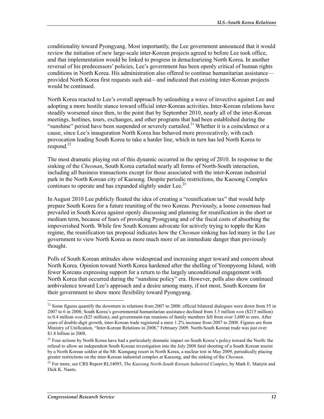conditionality toward Pyongyang. Most importantly, the Lee government announced that it would review the initiation of new large-scale inter-Korean projects agreed to before Lee took office, and that implementation would be linked to progress in denuclearizing North Korea. In another reversal of his predecessors' policies, Lee's government has been openly critical of human rights conditions in North Korea. His administration also offered to continue humanitarian assistance provided North Korea first requests such aid—and indicated that existing inter-Korean projects would be continued.

North Korea reacted to Lee's overall approach by unleashing a wave of invective against Lee and adopting a more hostile stance toward official inter-Korean activities. Inter-Korean relations have steadily worsened since then, to the point that by September 2010, nearly all of the inter-Korean meetings, hotlines, tours, exchanges, and other programs that had been established during the "sunshine" period have been suspended or severely curtailed.<sup>21</sup> Whether it is a coincidence or a cause, since Lee's inauguration North Korea has behaved more provocatively, with each provocation leading South Korea to take a harder line, which in turn has led North Korea to respond. $^{22}$ 

The most dramatic playing out of this dynamic occurred in the spring of 2010. In response to the sinking of the *Cheonan*, South Korea curtailed nearly all forms of North-South interaction, including all business transactions except for those associated with the inter-Korean industrial park in the North Korean city of Kaesong. Despite periodic restrictions, the Kaesong Complex continues to operate and has expanded slightly under Lee.<sup>23</sup>

In August 2010 Lee publicly floated the idea of creating a "reunification tax" that would help prepare South Korea for a future reuniting of the two Koreas. Previously, a loose consensus had prevailed in South Korea against openly discussing and planning for reunification in the short or medium term, because of fears of provoking Pyongyang and of the fiscal costs of absorbing the impoverished North. While few South Koreans advocate for actively trying to topple the Kim regime, the reunification tax proposal indicates how the *Cheonan* sinking has led many in the Lee government to view North Korea as more much more of an immediate danger than previously thought.

Polls of South Korean attitudes show widespread and increasing anger toward and concern about North Korea. Opinion toward North Korea hardened after the shelling of Yeonpyeong Island, with fewer Koreans expressing support for a return to the largely unconditional engagement with North Korea that occurred during the "sunshine policy" era. However, polls also show continued ambivalence toward Lee's approach and a desire among many, if not most, South Koreans for their government to show more flexibility toward Pyongyang.

<sup>&</sup>lt;sup>21</sup> Some figures quantify the downturn in relations from 2007 to 2008: official bilateral dialogues were down from 55 in 2007 to 6 in 2008; South Korea's governmental humanitarian assistance declined from 3.5 million *won* (\$215 million) to 0.4 million *won* (\$25 million); and government-run reunions of family members fell from over 3,600 to zero. After years of double-digit growth, inter-Korean trade registered a mere 1.2% increase from 2007 to 2008. Figures are from Ministry of Unification, "Inter-Korean Relations in 2008," February 2009. North-South Korean trade was just over \$1.8 billion in 2008.

<sup>&</sup>lt;sup>22</sup> Four actions by North Korea have had a particularly dramatic impact on South Korea's policy toward the North: the refusal to allow an independent South Korean investigation into the July 2008 fatal shooting of a South Korean tourist by a North Korean soldier at the Mt. Kumgang resort in North Korea, a nuclear test in May 2009, periodically placing greater restrictions on the inter-Korean industrial complex at Kaesong, and the sinking of the *Cheonan*.

<sup>23</sup> For more, see CRS Report RL34093, *The Kaesong North-South Korean Industrial Complex*, by Mark E. Manyin and Dick K. Nanto.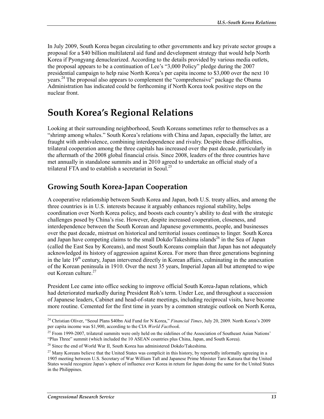In July 2009, South Korea began circulating to other governments and key private sector groups a proposal for a \$40 billion multilateral aid fund and development strategy that would help North Korea if Pyongyang denuclearized. According to the details provided by various media outlets, the proposal appears to be a continuation of Lee's "3,000 Policy" pledge during the 2007 presidential campaign to help raise North Korea's per capita income to \$3,000 over the next 10 years.<sup>24</sup> The proposal also appears to complement the "comprehensive" package the Obama Administration has indicated could be forthcoming if North Korea took positive steps on the nuclear front.

# **South Korea's Regional Relations**

Looking at their surrounding neighborhood, South Koreans sometimes refer to themselves as a "shrimp among whales." South Korea's relations with China and Japan, especially the latter, are fraught with ambivalence, combining interdependence and rivalry. Despite these difficulties, trilateral cooperation among the three capitals has increased over the past decade, particularly in the aftermath of the 2008 global financial crisis. Since 2008, leaders of the three countries have met annually in standalone summits and in 2010 agreed to undertake an official study of a trilateral FTA and to establish a secretariat in Seoul.<sup>25</sup>

### **Growing South Korea-Japan Cooperation**

A cooperative relationship between South Korea and Japan, both U.S. treaty allies, and among the three countries is in U.S. interests because it arguably enhances regional stability, helps coordination over North Korea policy, and boosts each country's ability to deal with the strategic challenges posed by China's rise. However, despite increased cooperation, closeness, and interdependence between the South Korean and Japanese governments, people, and businesses over the past decade, mistrust on historical and territorial issues continues to linger. South Korea and Japan have competing claims to the small Dokdo/Takeshima islands<sup>26</sup> in the Sea of Japan (called the East Sea by Koreans), and most South Koreans complain that Japan has not adequately acknowledged its history of aggression against Korea. For more than three generations beginning in the late  $19<sup>th</sup>$  century, Japan intervened directly in Korean affairs, culminating in the annexation of the Korean peninsula in 1910. Over the next 35 years, Imperial Japan all but attempted to wipe out Korean culture.<sup>27</sup>

President Lee came into office seeking to improve official South Korea-Japan relations, which had deteriorated markedly during President Roh's term. Under Lee, and throughout a succession of Japanese leaders, Cabinet and head-of-state meetings, including reciprocal visits, have become more routine. Cemented for the first time in years by a common strategic outlook on North Korea,

<sup>24</sup> Christian Oliver, "Seoul Plans \$40bn Aid Fund for N Korea," *Financial Times*, July 20, 2009. North Korea's 2009 per capita income was \$1,900, according to the CIA *World Factbook*.

<sup>&</sup>lt;sup>25</sup> From 1999-2007, trilateral summits were only held on the sidelines of the Association of Southeast Asian Nations' "Plus Three" summit (which included the 10 ASEAN countries plus China, Japan, and South Korea).

<sup>&</sup>lt;sup>26</sup> Since the end of World War II, South Korea has administered Dokdo/Takeshima.

 $27$  Many Koreans believe that the United States was complicit in this history, by reportedly informally agreeing in a 1905 meeting between U.S. Secretary of War William Taft and Japanese Prime Minister Taro Katsura that the United States would recognize Japan's sphere of influence over Korea in return for Japan doing the same for the United States in the Philippines.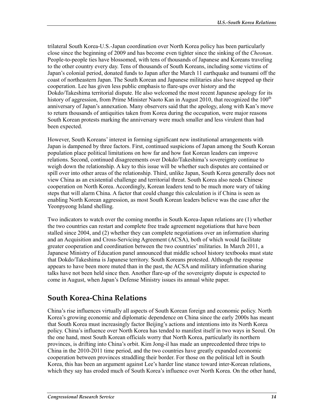trilateral South Korea-U.S.-Japan coordination over North Korea policy has been particularly close since the beginning of 2009 and has become even tighter since the sinking of the *Cheonan*. People-to-people ties have blossomed, with tens of thousands of Japanese and Koreans traveling to the other country every day. Tens of thousands of South Koreans, including some victims of Japan's colonial period, donated funds to Japan after the March 11 earthquake and tsunami off the coast of northeastern Japan. The South Korean and Japanese militaries also have stepped up their cooperation. Lee has given less public emphasis to flare-ups over history and the Dokdo/Takeshima territorial dispute. He also welcomed the most recent Japanese apology for its history of aggression, from Prime Minister Naoto Kan in August 2010, that recognized the  $100<sup>th</sup>$ anniversary of Japan's annexation. Many observers said that the apology, along with Kan's move to return thousands of antiquities taken from Korea during the occupation, were major reasons South Korean protests marking the anniversary were much smaller and less virulent than had been expected.

However, South Koreans' interest in forming significant new institutional arrangements with Japan is dampened by three factors. First, continued suspicions of Japan among the South Korean population place political limitations on how far and how fast Korean leaders can improve relations. Second, continued disagreements over Dokdo/Takeshima's sovereignty continue to weigh down the relationship. A key to this issue will be whether such disputes are contained or spill over into other areas of the relationship. Third, unlike Japan, South Korea generally does not view China as an existential challenge and territorial threat. South Korea also needs Chinese cooperation on North Korea. Accordingly, Korean leaders tend to be much more wary of taking steps that will alarm China. A factor that could change this calculation is if China is seen as enabling North Korean aggression, as most South Korean leaders believe was the case after the Yeonpyeong Island shelling.

Two indicators to watch over the coming months in South Korea-Japan relations are (1) whether the two countries can restart and complete free trade agreement negotiations that have been stalled since 2004, and (2) whether they can complete negotiations over an information sharing and an Acquisition and Cross-Servicing Agreement (ACSA), both of which would facilitate greater cooperation and coordination between the two countries' militaries. In March 2011, a Japanese Ministry of Education panel announced that middle school history textbooks must state that Dokdo/Takeshima is Japanese territory. South Koreans protested. Although the response appears to have been more muted than in the past, the ACSA and military information sharing talks have not been held since then. Another flare-up of the sovereignty dispute is expected to come in August, when Japan's Defense Ministry issues its annual white paper.

## **South Korea-China Relations**

China's rise influences virtually all aspects of South Korean foreign and economic policy. North Korea's growing economic and diplomatic dependence on China since the early 2000s has meant that South Korea must increasingly factor Beijing's actions and intentions into its North Korea policy. China's influence over North Korea has tended to manifest itself in two ways in Seoul. On the one hand, most South Korean officials worry that North Korea, particularly its northern provinces, is drifting into China's orbit. Kim Jong-il has made an unprecedented three trips to China in the 2010-2011 time period, and the two countries have greatly expanded economic cooperation between provinces straddling their border. For those on the political left in South Korea, this has been an argument against Lee's harder line stance toward inter-Korean relations, which they say has eroded much of South Korea's influence over North Korea. On the other hand,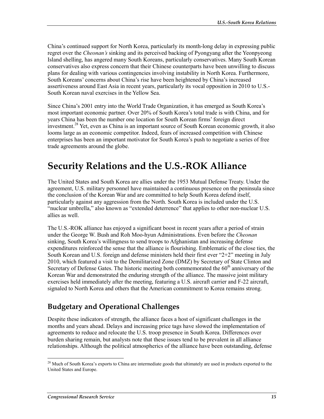China's continued support for North Korea, particularly its month-long delay in expressing public regret over the *Cheonan's* sinking and its perceived backing of Pyongyang after the Yeonpyeong Island shelling, has angered many South Koreans, particularly conservatives. Many South Korean conservatives also express concern that their Chinese counterparts have been unwilling to discuss plans for dealing with various contingencies involving instability in North Korea. Furthermore, South Koreans' concerns about China's rise have been heightened by China's increased assertiveness around East Asia in recent years, particularly its vocal opposition in 2010 to U.S.- South Korean naval exercises in the Yellow Sea.

Since China's 2001 entry into the World Trade Organization, it has emerged as South Korea's most important economic partner. Over 20% of South Korea's total trade is with China, and for years China has been the number one location for South Korean firms' foreign direct investment.28 Yet, even as China is an important source of South Korean economic growth, it also looms large as an economic competitor. Indeed, fears of increased competition with Chinese enterprises has been an important motivator for South Korea's push to negotiate a series of free trade agreements around the globe.

# **Security Relations and the U.S.-ROK Alliance**

The United States and South Korea are allies under the 1953 Mutual Defense Treaty. Under the agreement, U.S. military personnel have maintained a continuous presence on the peninsula since the conclusion of the Korean War and are committed to help South Korea defend itself, particularly against any aggression from the North. South Korea is included under the U.S. "nuclear umbrella," also known as "extended deterrence" that applies to other non-nuclear U.S. allies as well.

The U.S.-ROK alliance has enjoyed a significant boost in recent years after a period of strain under the George W. Bush and Roh Moo-hyun Administrations. Even before the *Cheonan* sinking, South Korea's willingness to send troops to Afghanistan and increasing defense expenditures reinforced the sense that the alliance is flourishing. Emblematic of the close ties, the South Korean and U.S. foreign and defense ministers held their first ever "2+2" meeting in July 2010, which featured a visit to the Demilitarized Zone (DMZ) by Secretary of State Clinton and Secretary of Defense Gates. The historic meeting both commemorated the  $60<sup>th</sup>$  anniversary of the Korean War and demonstrated the enduring strength of the alliance. The massive joint military exercises held immediately after the meeting, featuring a U.S. aircraft carrier and F-22 aircraft, signaled to North Korea and others that the American commitment to Korea remains strong.

## **Budgetary and Operational Challenges**

Despite these indicators of strength, the alliance faces a host of significant challenges in the months and years ahead. Delays and increasing price tags have slowed the implementation of agreements to reduce and relocate the U.S. troop presence in South Korea. Differences over burden sharing remain, but analysts note that these issues tend to be prevalent in all alliance relationships. Although the political atmospherics of the alliance have been outstanding, defense

<sup>1</sup>  $^{28}$  Much of South Korea's exports to China are intermediate goods that ultimately are used in products exported to the United States and Europe.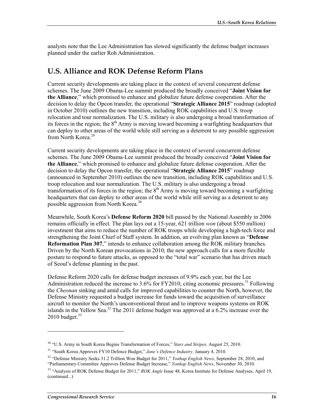analysts note that the Lee Administration has slowed significantly the defense budget increases planned under the earlier Roh Administration.

#### **U.S. Alliance and ROK Defense Reform Plans**

Current security developments are taking place in the context of several concurrent defense schemes. The June 2009 Obama-Lee summit produced the broadly conceived "**Joint Vision for the Alliance**," which promised to enhance and globalize future defense cooperation. After the decision to delay the Opcon transfer, the operational "**Strategic Alliance 2015**" roadmap (adopted in October 2010) outlines the new transition, including ROK capabilities and U.S. troop relocation and tour normalization. The U.S. military is also undergoing a broad transformation of its forces in the region; the  $8<sup>th</sup>$  Army is moving toward becoming a warfighting headquarters that can deploy to other areas of the world while still serving as a deterrent to any possible aggression from North Korea.<sup>29</sup>

Current security developments are taking place in the context of several concurrent defense schemes. The June 2009 Obama-Lee summit produced the broadly conceived "**Joint Vision for the Alliance**," which promised to enhance and globalize future defense cooperation. After the decision to delay the Opcon transfer, the operational "**Strategic Alliance 2015**" roadmap (announced in September 2010) outlines the new transition, including ROK capabilities and U.S. troop relocation and tour normalization. The U.S. military is also undergoing a broad transformation of its forces in the region; the  $8<sup>th</sup>$  Army is moving toward becoming a warfighting headquarters that can deploy to other areas of the world while still serving as a deterrent to any possible aggression from North Korea.<sup>30</sup>

Meanwhile, South Korea's **Defense Reform 2020** bill passed by the National Assembly in 2006 remains officially in effect. The plan lays out a 15-year, 621 trillion *won* (about \$550 million) investment that aims to reduce the number of ROK troops while developing a high-tech force and strengthening the Joint Chief of Staff system. In addition, an evolving plan known as "**Defense Reformation Plan 307**," intends to enhance collaboration among the ROK military branches. Driven by the North Korean provocations in 2010, the new approach calls for a more flexible posture to respond to future attacks, as opposed to the "total war" scenario that has driven much of Seoul's defense planning in the past.

Defense Reform 2020 calls for defense budget increases of 9.9% each year, but the Lee Administration reduced the increase to 3.6% for FY2010, citing economic pressures.<sup>31</sup> Following the *Cheonan* sinking and amid calls for improved capabilities to counter the North, however, the Defense Ministry requested a budget increase for funds toward the acquisition of surveillance aircraft to monitor the North's unconventional threat and to improve weapons systems on ROK islands in the Yellow Sea.<sup>32</sup> The 2011 defense budget was approved at a  $6.2\%$  increase over the  $2010$  budget.<sup>33</sup>

<u>.</u>

<sup>30 &</sup>quot;U.S. Army in South Korea Begins Transformation of Forces," *Stars and Stripes*. August 25, 2010.

<sup>31 &</sup>quot;South Korea Approves FY10 Defence Budget," *Jane's Defence Industry*. January 4, 2010.

<sup>32 &</sup>quot;Defense Ministry Seeks 31.2 Trillion Won Budget for 2011," *Yonhap English News*, September 28, 2010, and "Parliamentary Committee Approves Defense Budget Increase," *Yonhap English News*, November 30, 2010.

<sup>33 &</sup>quot;Analysis of ROK Defense Budget for 2011," *ROK Angle* Issue 48, Korea Institute for Defense Analyses, April 19, (continued...)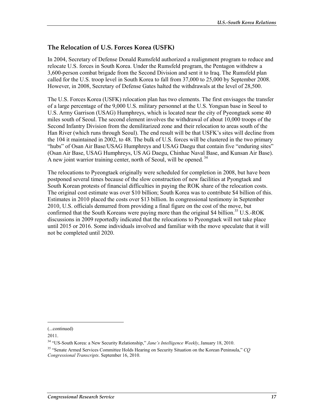#### **The Relocation of U.S. Forces Korea (USFK)**

In 2004, Secretary of Defense Donald Rumsfeld authorized a realignment program to reduce and relocate U.S. forces in South Korea. Under the Rumsfeld program, the Pentagon withdrew a 3,600-person combat brigade from the Second Division and sent it to Iraq. The Rumsfeld plan called for the U.S. troop level in South Korea to fall from 37,000 to 25,000 by September 2008. However, in 2008, Secretary of Defense Gates halted the withdrawals at the level of 28,500.

The U.S. Forces Korea (USFK) relocation plan has two elements. The first envisages the transfer of a large percentage of the 9,000 U.S. military personnel at the U.S. Yongsan base in Seoul to U.S. Army Garrison (USAG) Humphreys, which is located near the city of Pyeongtaek some 40 miles south of Seoul. The second element involves the withdrawal of about 10,000 troops of the Second Infantry Division from the demilitarized zone and their relocation to areas south of the Han River (which runs through Seoul). The end result will be that USFK's sites will decline from the 104 it maintained in 2002, to 48. The bulk of U.S. forces will be clustered in the two primary "hubs" of Osan Air Base/USAG Humphreys and USAG Daegu that contain five "enduring sites" (Osan Air Base, USAG Humphreys, US AG Daegu, Chinhae Naval Base, and Kunsan Air Base). A new joint warrior training center, north of Seoul, will be opened.<sup>34</sup>

The relocations to Pyeongtaek originally were scheduled for completion in 2008, but have been postponed several times because of the slow construction of new facilities at Pyongtaek and South Korean protests of financial difficulties in paying the ROK share of the relocation costs. The original cost estimate was over \$10 billion; South Korea was to contribute \$4 billion of this. Estimates in 2010 placed the costs over \$13 billion. In congressional testimony in September 2010, U.S. officials demurred from providing a final figure on the cost of the move, but confirmed that the South Koreans were paying more than the original \$4 billion.<sup>35</sup> U.S.-ROK discussions in 2009 reportedly indicated that the relocations to Pyeongtaek will not take place until 2015 or 2016. Some individuals involved and familiar with the move speculate that it will not be completed until 2020.

<sup>(...</sup>continued)

<sup>2011.</sup> 

<sup>34 &</sup>quot;US-South Korea: a New Security Relationship," *Jane's Intelligence Weekly*, January 18, 2010.

<sup>35 &</sup>quot;Senate Armed Services Committee Holds Hearing on Security Situation on the Korean Peninsula," *CQ Congressional Transcripts*. September 16, 2010.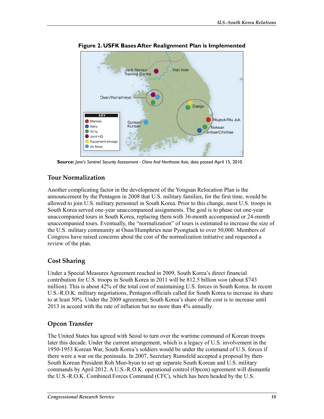

**Figure 2. USFK Bases After Realignment Plan is Implemented** 

**Source:** *Jane's Sentinel Security Assessment - China And Northeast Asia*, date posted April 15, 2010.

#### **Tour Normalization**

Another complicating factor in the development of the Yongsan Relocation Plan is the announcement by the Pentagon in 2008 that U.S. military families, for the first time, would be allowed to join U.S. military personnel in South Korea. Prior to this change, most U.S. troops in South Korea served one-year unaccompanied assignments. The goal is to phase out one-year unaccompanied tours in South Korea, replacing them with 36-month accompanied or 24-month unaccompanied tours. Eventually, the "normalization" of tours is estimated to increase the size of the U.S. military community at Osan/Humphries near Pyongtaek to over 50,000. Members of Congress have raised concerns about the cost of the normalization initiative and requested a review of the plan.

### **Cost Sharing**

Under a Special Measures Agreement reached in 2009, South Korea's direct financial contribution for U.S. troops in South Korea in 2011 will be 812.5 billion *won* (about \$743 million). This is about 42% of the total cost of maintaining U.S. forces in South Korea. In recent U.S.-R.O.K. military negotiations, Pentagon officials called for South Korea to increase its share to at least 50%. Under the 2009 agreement, South Korea's share of the cost is to increase until 2013 in accord with the rate of inflation but no more than 4% annually.

### **Opcon Transfer**

The United States has agreed with Seoul to turn over the wartime command of Korean troops later this decade. Under the current arrangement, which is a legacy of U.S. involvement in the 1950-1953 Korean War, South Korea's soldiers would be under the command of U.S. forces if there were a war on the peninsula. In 2007, Secretary Rumsfeld accepted a proposal by then-South Korean President Roh Moo-hyun to set up separate South Korean and U.S. military commands by April 2012. A U.S.-R.O.K. operational control (Opcon) agreement will dismantle the U.S.-R.O.K. Combined Forces Command (CFC), which has been headed by the U.S.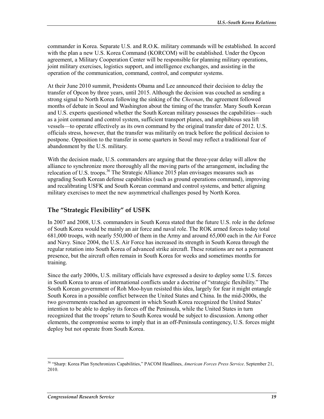commander in Korea. Separate U.S. and R.O.K. military commands will be established. In accord with the plan a new U.S. Korea Command (KORCOM) will be established. Under the Opcon agreement, a Military Cooperation Center will be responsible for planning military operations, joint military exercises, logistics support, and intelligence exchanges, and assisting in the operation of the communication, command, control, and computer systems.

At their June 2010 summit, Presidents Obama and Lee announced their decision to delay the transfer of Opcon by three years, until 2015. Although the decision was couched as sending a strong signal to North Korea following the sinking of the *Cheonan*, the agreement followed months of debate in Seoul and Washington about the timing of the transfer. Many South Korean and U.S. experts questioned whether the South Korean military possesses the capabilities—such as a joint command and control system, sufficient transport planes, and amphibious sea lift vessels—to operate effectively as its own command by the original transfer date of 2012. U.S. officials stress, however, that the transfer was militarily on track before the political decision to postpone. Opposition to the transfer in some quarters in Seoul may reflect a traditional fear of abandonment by the U.S. military.

With the decision made, U.S. commanders are arguing that the three-year delay will allow the alliance to synchronize more thoroughly all the moving parts of the arrangement, including the relocation of U.S. troops.<sup>36</sup> The Strategic Alliance 2015 plan envisages measures such as upgrading South Korean defense capabilities (such as ground operations command), improving and recalibrating USFK and South Korean command and control systems, and better aligning military exercises to meet the new asymmetrical challenges posed by North Korea.

#### **The "Strategic Flexibility" of USFK**

In 2007 and 2008, U.S. commanders in South Korea stated that the future U.S. role in the defense of South Korea would be mainly an air force and naval role. The ROK armed forces today total 681,000 troops, with nearly 550,000 of them in the Army and around 65,000 each in the Air Force and Navy. Since 2004, the U.S. Air Force has increased its strength in South Korea through the regular rotation into South Korea of advanced strike aircraft. These rotations are not a permanent presence, but the aircraft often remain in South Korea for weeks and sometimes months for training.

Since the early 2000s, U.S. military officials have expressed a desire to deploy some U.S. forces in South Korea to areas of international conflicts under a doctrine of "strategic flexibility." The South Korean government of Roh Moo-hyun resisted this idea, largely for fear it might entangle South Korea in a possible conflict between the United States and China. In the mid-2000s, the two governments reached an agreement in which South Korea recognized the United States' intention to be able to deploy its forces off the Peninsula, while the United States in turn recognized that the troops' return to South Korea would be subject to discussion. Among other elements, the compromise seems to imply that in an off-Peninsula contingency, U.S. forces might deploy but not operate from South Korea.

<sup>36 &</sup>quot;Sharp: Korea Plan Synchronizes Capabilities," PACOM Headlines, *American Forces Press Service*. September 21, 2010.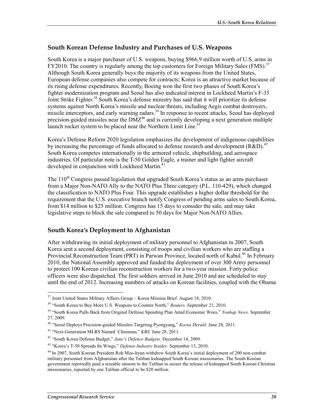#### **South Korean Defense Industry and Purchases of U.S. Weapons**

South Korea is a major purchaser of U.S. weapons, buying \$966.9 million worth of U.S. arms in FY2010. The country is regularly among the top customers for Foreign Military Sales (FMS).<sup>37</sup> Although South Korea generally buys the majority of its weapons from the United States, European defense companies also compete for contracts; Korea is an attractive market because of its rising defense expenditures. Recently, Boeing won the first two phases of South Korea's fighter modernization program and Seoul has also indicated interest in Lockheed Martin's F-35 Joint Strike Fighter.<sup>38</sup> South Korea's defense ministry has said that it will prioritize its defense systems against North Korea's missile and nuclear threats, including Aegis combat destroyers, missile interceptors, and early warning radars.<sup>39</sup> In response to recent attacks, Seoul has deployed precision-guided missiles near the  $DMZ^{40}$  and is currently developing a next generation multiple launch rocket system to be placed near the Northern Limit Line.<sup>41</sup>

Korea's Defense Reform 2020 legislation emphasizes the development of indigenous capabilities by increasing the percentage of funds allocated to defense research and development (R&D).<sup>42</sup> South Korea competes internationally in the armored vehicle, shipbuilding, and aerospace industries. Of particular note is the T-50 Golden Eagle, a trainer and light fighter aircraft developed in conjunction with Lockheed Martin.<sup>43</sup>

The  $110<sup>th</sup>$  Congress passed legislation that upgraded South Korea's status as an arms purchaser from a Major Non-NATO Ally to the NATO Plus Three category (P.L. 110-429), which changed the classification to NATO Plus Four. This upgrade establishes a higher dollar threshold for the requirement that the U.S. executive branch notify Congress of pending arms sales to South Korea, from \$14 million to \$25 million. Congress has 15 days to consider the sale, and may take legislative steps to block the sale compared to 50 days for Major Non-NATO Allies.

#### **South Korea's Deployment to Afghanistan**

After withdrawing its initial deployment of military personnel to Afghanistan in 2007, South Korea sent a second deployment, consisting of troops and civilian workers who are staffing a Provincial Reconstruction Team (PRT) in Parwan Province, located north of Kabul.<sup>44</sup> In February 2010, the National Assembly approved and funded the deployment of over 300 Army personnel to protect 100 Korean civilian reconstruction workers for a two-year mission. Forty police officers were also dispatched. The first soldiers arrived in June 2010 and are scheduled to stay until the end of 2012. Increasing numbers of attacks on Korean facilities, coupled with the Obama

 $37$  Joint United States Military Affairs Group – Korea Mission Brief. August 18, 2010.

<sup>38 &</sup>quot;South Korea to Buy More U.S. Weapons to Counter North," *Reuters*. September 21, 2010.

<sup>39 &</sup>quot;South Korea Pulls Back from Original Defense Spending Plan Amid Economic Woes," *Yonhap News*. September 27, 2009.

<sup>40 &</sup>quot;Seoul Deploys Precision-guided Missiles Targeting Pyongyang," *Korea Herald*. June 28, 2011.

<sup>41 &</sup>quot;Next-Generation MLRS Named 'Cheonmu," *KBS*. June 28, 2011.

<sup>42 &</sup>quot;South Korea Defense Budget," *Jane's Defence Budgets*. December 14, 2009.

<sup>43 &</sup>quot;Korea's T-50 Spreads Its Wings," *Defense Industry Insider*. September 13, 2010.

<sup>44</sup> In 2007, South Korean President Roh Moo-hyun withdrew South Korea's initial deployment of 200 non-combat military personnel from Afghanistan after the Taliban kidnapped South Korean missionaries. The South Korean government reportedly paid a sizeable ransom to the Taliban to secure the release of kidnapped South Korean Christian missionaries, reported by one Taliban official to be \$20 million.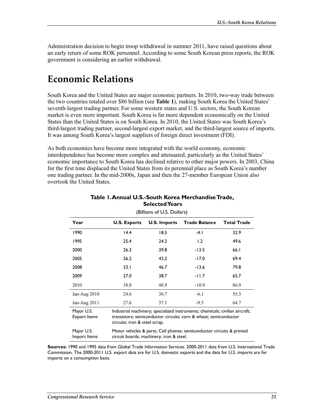Administration decision to begin troop withdrawal in summer 2011, have raised questions about an early return of some ROK personnel. According to some South Korean press reports, the ROK government is considering an earlier withdrawal.

# **Economic Relations**

South Korea and the United States are major economic partners. In 2010, two-way trade between the two countries totaled over \$86 billion (see **Table 1**), making South Korea the United States' seventh-largest trading partner. For some western states and U.S. sectors, the South Korean market is even more important. South Korea is far more dependent economically on the United States than the United States is on South Korea. In 2010, the United States was South Korea's third-largest trading partner, second-largest export market, and the third-largest source of imports. It was among South Korea's largest suppliers of foreign direct investment (FDI).

As both economies have become more integrated with the world economy, economic interdependence has become more complex and attenuated, particularly as the United States' economic importance to South Korea has declined relative to other major powers. In 2003, China for the first time displaced the United States from its perennial place as South Korea's number one trading partner. In the mid-2000s, Japan and then the 27-member European Union also overtook the United States.

| (Billions of U.S. Dollars)        |                                                                                                                                                                                   |                     |                      |                    |  |  |  |
|-----------------------------------|-----------------------------------------------------------------------------------------------------------------------------------------------------------------------------------|---------------------|----------------------|--------------------|--|--|--|
| Year                              | <b>U.S. Exports</b>                                                                                                                                                               | <b>U.S. Imports</b> | <b>Trade Balance</b> | <b>Total Trade</b> |  |  |  |
| 1990                              | 14.4                                                                                                                                                                              | 18.5                | -4. I                | 32.9               |  |  |  |
| 1995                              | 25.4                                                                                                                                                                              | 24.2                | 1.2                  | 49.6               |  |  |  |
| 2000                              | 26.3                                                                                                                                                                              | 39.8                | $-13.5$              | 66.1               |  |  |  |
| 2005                              | 26.2                                                                                                                                                                              | 43.2                | $-17.0$              | 69.4               |  |  |  |
| 2008                              | 33.1                                                                                                                                                                              | 46.7                | $-13.6$              | 79.8               |  |  |  |
| 2009                              | 27.0                                                                                                                                                                              | 38.7                | $-11.7$              | 65.7               |  |  |  |
| 2010                              | 38.0                                                                                                                                                                              | 48.9                | $-10.9$              | 86.9               |  |  |  |
| Jan-Aug 2010                      | 24.6                                                                                                                                                                              | 30.7                | $-6.1$               | 55.3               |  |  |  |
| Jan-Aug $2011$                    | 27.6                                                                                                                                                                              | 37.1                | $-9.5$               | 64.7               |  |  |  |
| Major U.S.<br><b>Export Items</b> | Industrial machinery; specialized instruments; chemicals; civilian aircraft;<br>transistors; semiconductor circuits; corn & wheat; semiconductor<br>circuits; iron & steel scrap. |                     |                      |                    |  |  |  |
| Major U.S.<br>Import Items        | Motor vehicles & parts; Cell phones; semiconductor circuits & printed<br>circuit boards; machinery; iron & steel.                                                                 |                     |                      |                    |  |  |  |

#### **Table 1. Annual U.S.-South Korea Merchandise Trade, Selected Years**

**Sources:** 1990 and 1995 data from Global Trade Information Services. 2000-2011 data from U.S. International Trade

Commission. The 2000-2011 U.S. export data are for U.S. domestic exports and the data for U.S. imports are for imports on a consumption basis.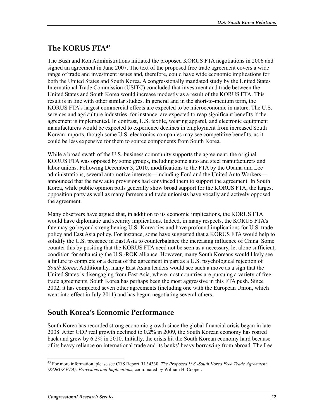## **The KORUS FTA45**

The Bush and Roh Administrations initiated the proposed KORUS FTA negotiations in 2006 and signed an agreement in June 2007. The text of the proposed free trade agreement covers a wide range of trade and investment issues and, therefore, could have wide economic implications for both the United States and South Korea. A congressionally mandated study by the United States International Trade Commission (USITC) concluded that investment and trade between the United States and South Korea would increase modestly as a result of the KORUS FTA. This result is in line with other similar studies. In general and in the short-to-medium term, the KORUS FTA's largest commercial effects are expected to be microeconomic in nature. The U.S. services and agriculture industries, for instance, are expected to reap significant benefits if the agreement is implemented. In contrast, U.S. textile, wearing apparel, and electronic equipment manufacturers would be expected to experience declines in employment from increased South Korean imports, though some U.S. electronics companies may see competitive benefits, as it could be less expensive for them to source components from South Korea.

While a broad swath of the U.S. business community supports the agreement, the original KORUS FTA was opposed by some groups, including some auto and steel manufacturers and labor unions. Following December 3, 2010, modifications to the FTA by the Obama and Lee administrations, several automotive interests—including Ford and the United Auto Workers announced that the new auto provisions had convinced them to support the agreement. In South Korea, while public opinion polls generally show broad support for the KORUS FTA, the largest opposition party as well as many farmers and trade unionists have vocally and actively opposed the agreement.

Many observers have argued that, in addition to its economic implications, the KORUS FTA would have diplomatic and security implications. Indeed, in many respects, the KORUS FTA's fate may go beyond strengthening U.S.-Korea ties and have profound implications for U.S. trade policy and East Asia policy. For instance, some have suggested that a KORUS FTA would help to solidify the U.S. presence in East Asia to counterbalance the increasing influence of China. Some counter this by positing that the KORUS FTA need not be seen as a necessary, let alone sufficient, condition for enhancing the U.S.-ROK alliance. However, many South Koreans would likely see a failure to complete or a defeat of the agreement in part as a U.S. psychological rejection of *South Korea*. Additionally, many East Asian leaders would see such a move as a sign that the United States is disengaging from East Asia, where most countries are pursuing a variety of free trade agreements. South Korea has perhaps been the most aggressive in this FTA push. Since 2002, it has completed seven other agreements (including one with the European Union, which went into effect in July 2011) and has begun negotiating several others.

## **South Korea's Economic Performance**

South Korea has recorded strong economic growth since the global financial crisis began in late 2008. After GDP real growth declined to 0.2% in 2009, the South Korean economy has roared back and grew by 6.2% in 2010. Initially, the crisis hit the South Korean economy hard because of its heavy reliance on international trade and its banks' heavy borrowing from abroad. The Lee

<sup>1</sup> 45 For more information, please see CRS Report RL34330, *The Proposed U.S.-South Korea Free Trade Agreement (KORUS FTA): Provisions and Implications*, coordinated by William H. Cooper.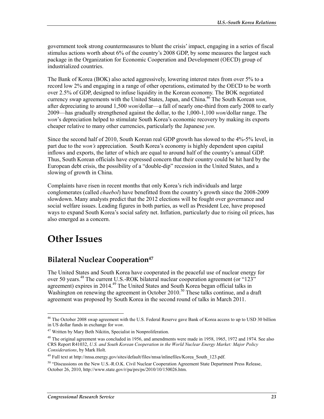government took strong countermeasures to blunt the crisis' impact, engaging in a series of fiscal stimulus actions worth about 6% of the country's 2008 GDP, by some measures the largest such package in the Organization for Economic Cooperation and Development (OECD) group of industrialized countries.

The Bank of Korea (BOK) also acted aggressively, lowering interest rates from over 5% to a record low 2% and engaging in a range of other operations, estimated by the OECD to be worth over 2.5% of GDP, designed to infuse liquidity in the Korean economy. The BOK negotiated currency swap agreements with the United States, Japan, and China.<sup>46</sup> The South Korean *won*. after depreciating to around 1,500 *won*/dollar—a fall of nearly one-third from early 2008 to early 2009—has gradually strengthened against the dollar, to the 1,000-1,100 *won*/dollar range. The *won*'s depreciation helped to stimulate South Korea's economic recovery by making its exports cheaper relative to many other currencies, particularly the Japanese *yen*.

Since the second half of 2010, South Korean real GDP growth has slowed to the 4%-5% level, in part due to the *won's* appreciation. South Korea's economy is highly dependent upon capital inflows and exports, the latter of which are equal to around half of the country's annual GDP. Thus, South Korean officials have expressed concern that their country could be hit hard by the European debt crisis, the possibility of a "double-dip" recession in the United States, and a slowing of growth in China.

Complaints have risen in recent months that only Korea's rich individuals and large conglomerates (called *chaebol*) have benefitted from the country's growth since the 2008-2009 slowdown. Many analysts predict that the 2012 elections will be fought over governance and social welfare issues. Leading figures in both parties, as well as President Lee, have proposed ways to expand South Korea's social safety net. Inflation, particularly due to rising oil prices, has also emerged as a concern.

# **Other Issues**

## **Bilateral Nuclear Cooperation**<sup>47</sup>

The United States and South Korea have cooperated in the peaceful use of nuclear energy for over 50 years.<sup>48</sup> The current U.S.-ROK bilateral nuclear cooperation agreement (or "123" agreement) expires in 2014.<sup>49</sup> The United States and South Korea began official talks in Washington on renewing the agreement in October 2010.<sup>50</sup> These talks continue, and a draft agreement was proposed by South Korea in the second round of talks in March 2011.

<sup>1</sup> <sup>46</sup> The October 2008 swap agreement with the U.S. Federal Reserve gave Bank of Korea access to up to USD 30 billion in US dollar funds in exchange for *won*.

<sup>47</sup> Written by Mary Beth Nikitin, Specialist in Nonproliferation.

<sup>&</sup>lt;sup>48</sup> The original agreement was concluded in 1956, and amendments were made in 1958, 1965, 1972 and 1974. See also CRS Report R41032, *U.S. and South Korean Cooperation in the World Nuclear Energy Market: Major Policy Considerations*, by Mark Holt.

<sup>49</sup> Full text at http://nnsa.energy.gov/sites/default/files/nnsa/inlinefiles/Korea\_South\_123.pdf.

<sup>&</sup>lt;sup>50</sup> "Discussions on the New U.S.-R.O.K. Civil Nuclear Cooperation Agreement State Department Press Release, October 26, 2010, http://www.state.gov/r/pa/prs/ps/2010/10/150026.htm.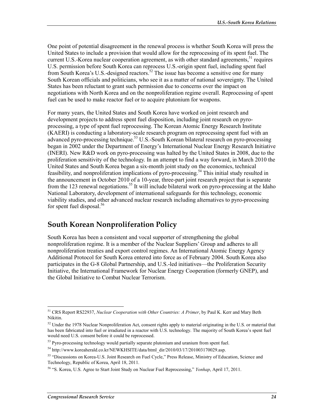One point of potential disagreement in the renewal process is whether South Korea will press the United States to include a provision that would allow for the reprocessing of its spent fuel. The current U.S.-Korea nuclear cooperation agreement, as with other standard agreements,  $51$  requires U.S. permission before South Korea can reprocess U.S.-origin spent fuel, including spent fuel from South Korea's U.S.-designed reactors.<sup>52</sup> The issue has become a sensitive one for many South Korean officials and politicians, who see it as a matter of national sovereignty. The United States has been reluctant to grant such permission due to concerns over the impact on negotiations with North Korea and on the nonproliferation regime overall. Reprocessing of spent fuel can be used to make reactor fuel or to acquire plutonium for weapons.

For many years, the United States and South Korea have worked on joint research and development projects to address spent fuel disposition, including joint research on pyroprocessing, a type of spent fuel reprocessing. The Korean Atomic Energy Research Institute (KAERI) is conducting a laboratory-scale research program on reprocessing spent fuel with an advanced pyro-processing technique.<sup>53</sup> U.S.-South Korean bilateral research on pyro-processing began in 2002 under the Department of Energy's International Nuclear Energy Research Initiative (INERI). New R&D work on pyro-processing was halted by the United States in 2008, due to the proliferation sensitivity of the technology. In an attempt to find a way forward, in March 2010 the United States and South Korea began a six-month joint study on the economics, technical feasibility, and nonproliferation implications of pyro-processing.<sup>54</sup> This initial study resulted in the announcement in October 2010 of a 10-year, three-part joint research project that is separate from the 123 renewal negotiations.<sup>55</sup> It will include bilateral work on pyro-processing at the Idaho National Laboratory, development of international safeguards for this technology, economic viability studies, and other advanced nuclear research including alternatives to pyro-processing for spent fuel disposal.<sup>56</sup>

### **South Korean Nonproliferation Policy**

South Korea has been a consistent and vocal supporter of strengthening the global nonproliferation regime. It is a member of the Nuclear Suppliers' Group and adheres to all nonproliferation treaties and export control regimes. An International Atomic Energy Agency Additional Protocol for South Korea entered into force as of February 2004. South Korea also participates in the G-8 Global Partnership, and U.S.-led initiatives—the Proliferation Security Initiative, the International Framework for Nuclear Energy Cooperation (formerly GNEP), and the Global Initiative to Combat Nuclear Terrorism.

<sup>51</sup> CRS Report RS22937, *Nuclear Cooperation with Other Countries: A Primer*, by Paul K. Kerr and Mary Beth Nikitin.

<sup>&</sup>lt;sup>52</sup> Under the 1978 Nuclear Nonproliferation Act, consent rights apply to material originating in the U.S. or material that has been fabricated into fuel or irradiated in a reactor with U.S. technology. The majority of South Korea's spent fuel would need U.S. consent before it could be reprocessed.

 $53$  Pyro-processing technology would partially separate plutonium and uranium from spent fuel.

<sup>&</sup>lt;sup>54</sup> http://www.koreaherald.co.kr/NEWKHSITE/data/html\_dir/2010/03/17/201003170029.asp.

<sup>55 &</sup>quot;Discussions on Korea-U.S. Joint Research on Fuel Cycle," Press Release, Ministry of Education, Science and Technology, Republic of Korea, April 18, 2011.

<sup>56 &</sup>quot;S. Korea, U.S. Agree to Start Joint Study on Nuclear Fuel Reprocessing," *Yonhap*, April 17, 2011.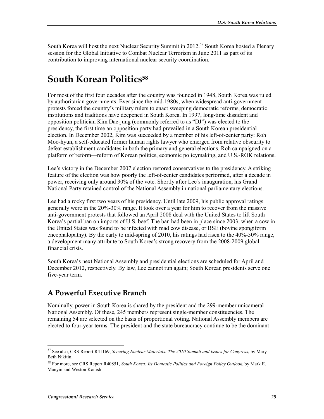South Korea will host the next Nuclear Security Summit in 2012.<sup>57</sup> South Korea hosted a Plenary session for the Global Initiative to Combat Nuclear Terrorism in June 2011 as part of its contribution to improving international nuclear security coordination.

# **South Korean Politics58**

For most of the first four decades after the country was founded in 1948, South Korea was ruled by authoritarian governments. Ever since the mid-1980s, when widespread anti-government protests forced the country's military rulers to enact sweeping democratic reforms, democratic institutions and traditions have deepened in South Korea. In 1997, long-time dissident and opposition politician Kim Dae-jung (commonly referred to as "DJ") was elected to the presidency, the first time an opposition party had prevailed in a South Korean presidential election. In December 2002, Kim was succeeded by a member of his left-of-center party: Roh Moo-hyun, a self-educated former human rights lawyer who emerged from relative obscurity to defeat establishment candidates in both the primary and general elections. Roh campaigned on a platform of reform—reform of Korean politics, economic policymaking, and U.S.-ROK relations.

Lee's victory in the December 2007 election restored conservatives to the presidency. A striking feature of the election was how poorly the left-of-center candidates performed, after a decade in power, receiving only around 30% of the vote. Shortly after Lee's inauguration, his Grand National Party retained control of the National Assembly in national parliamentary elections.

Lee had a rocky first two years of his presidency. Until late 2009, his public approval ratings generally were in the 20%-30% range. It took over a year for him to recover from the massive anti-government protests that followed an April 2008 deal with the United States to lift South Korea's partial ban on imports of U.S. beef. The ban had been in place since 2003, when a cow in the United States was found to be infected with mad cow disease, or BSE (bovine spongiform encephalopathy). By the early to mid-spring of 2010, his ratings had risen to the 40%-50% range, a development many attribute to South Korea's strong recovery from the 2008-2009 global financial crisis.

South Korea's next National Assembly and presidential elections are scheduled for April and December 2012, respectively. By law, Lee cannot run again; South Korean presidents serve one five-year term.

### **A Powerful Executive Branch**

Nominally, power in South Korea is shared by the president and the 299-member unicameral National Assembly. Of these, 245 members represent single-member constituencies. The remaining 54 are selected on the basis of proportional voting. National Assembly members are elected to four-year terms. The president and the state bureaucracy continue to be the dominant

<sup>57</sup> See also, CRS Report R41169, *Securing Nuclear Materials: The 2010 Summit and Issues for Congress*, by Mary Beth Nikitin.

<sup>58</sup> For more, see CRS Report R40851, *South Korea: Its Domestic Politics and Foreign Policy Outlook*, by Mark E. Manyin and Weston Konishi.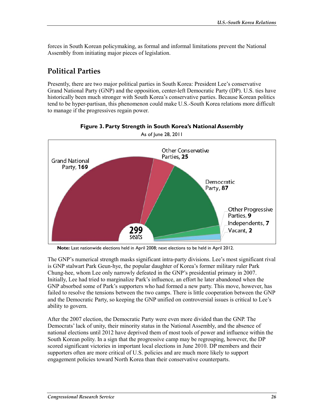forces in South Korean policymaking, as formal and informal limitations prevent the National Assembly from initiating major pieces of legislation.

### **Political Parties**

Presently, there are two major political parties in South Korea: President Lee's conservative Grand National Party (GNP) and the opposition, center-left Democratic Party (DP). U.S. ties have historically been much stronger with South Korea's conservative parties. Because Korean politics tend to be hyper-partisan, this phenomenon could make U.S.-South Korea relations more difficult to manage if the progressives regain power.



**Figure 3. Party Strength in South Korea's National Assembly** 

**Note:** Last nationwide elections held in April 2008; next elections to be held in April 2012.

The GNP's numerical strength masks significant intra-party divisions. Lee's most significant rival is GNP stalwart Park Geun-hye, the popular daughter of Korea's former military ruler Park Chung-hee, whom Lee only narrowly defeated in the GNP's presidential primary in 2007. Initially, Lee had tried to marginalize Park's influence, an effort he later abandoned when the GNP absorbed some of Park's supporters who had formed a new party. This move, however, has failed to resolve the tensions between the two camps. There is little cooperation between the GNP and the Democratic Party, so keeping the GNP unified on controversial issues is critical to Lee's ability to govern.

After the 2007 election, the Democratic Party were even more divided than the GNP. The Democrats' lack of unity, their minority status in the National Assembly, and the absence of national elections until 2012 have deprived them of most tools of power and influence within the South Korean polity. In a sign that the progressive camp may be regrouping, however, the DP scored significant victories in important local elections in June 2010. DP members and their supporters often are more critical of U.S. policies and are much more likely to support engagement policies toward North Korea than their conservative counterparts.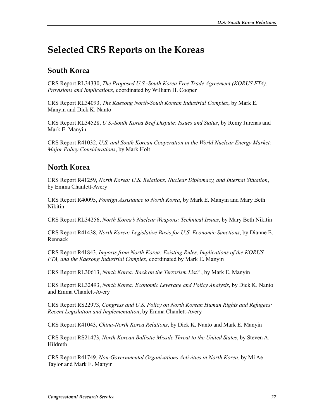# **Selected CRS Reports on the Koreas**

### **South Korea**

CRS Report RL34330, *The Proposed U.S.-South Korea Free Trade Agreement (KORUS FTA): Provisions and Implications*, coordinated by William H. Cooper

CRS Report RL34093, *The Kaesong North-South Korean Industrial Complex*, by Mark E. Manyin and Dick K. Nanto

CRS Report RL34528, *U.S.-South Korea Beef Dispute: Issues and Status*, by Remy Jurenas and Mark E. Manyin

CRS Report R41032, *U.S. and South Korean Cooperation in the World Nuclear Energy Market: Major Policy Considerations*, by Mark Holt

### **North Korea**

CRS Report R41259, *North Korea: U.S. Relations, Nuclear Diplomacy, and Internal Situation*, by Emma Chanlett-Avery

CRS Report R40095, *Foreign Assistance to North Korea*, by Mark E. Manyin and Mary Beth Nikitin

CRS Report RL34256, *North Korea's Nuclear Weapons: Technical Issues*, by Mary Beth Nikitin

CRS Report R41438, *North Korea: Legislative Basis for U.S. Economic Sanctions*, by Dianne E. Rennack

CRS Report R41843, *Imports from North Korea: Existing Rules, Implications of the KORUS FTA, and the Kaesong Industrial Complex*, coordinated by Mark E. Manyin

CRS Report RL30613, *North Korea: Back on the Terrorism List?* , by Mark E. Manyin

CRS Report RL32493, *North Korea: Economic Leverage and Policy Analysis*, by Dick K. Nanto and Emma Chanlett-Avery

CRS Report RS22973, *Congress and U.S. Policy on North Korean Human Rights and Refugees: Recent Legislation and Implementation*, by Emma Chanlett-Avery

CRS Report R41043, *China-North Korea Relations*, by Dick K. Nanto and Mark E. Manyin

CRS Report RS21473, *North Korean Ballistic Missile Threat to the United States*, by Steven A. Hildreth

CRS Report R41749, *Non-Governmental Organizations Activities in North Korea*, by Mi Ae Taylor and Mark E. Manyin